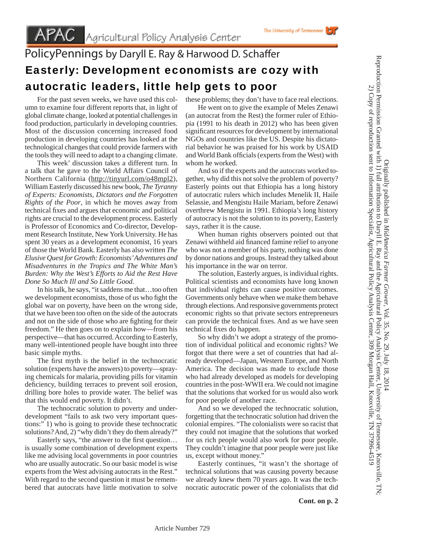## PolicyPennings by Daryll E. Ray & Harwood D. Schaffer Easterly: Development economists are cozy with autocratic leaders, little help gets to poor

 For the past seven weeks, we have used this column to examine four different reports that, in light of global climate change, looked at potential challenges in food production, particularly in developing countries. Most of the discussion concerning increased food production in developing countries has looked at the technological changes that could provide farmers with the tools they will need to adapt to a changing climate.

 This week' discussion takes a different turn. In a talk that he gave to the World Affairs Council of Northern California (http://tinyurl.com/o48mpl2), William Easterly discussed his new book, *The Tyranny of Experts: Economists, Dictators and the Forgotten Rights of the Poor*, in which he moves away from technical fixes and argues that economic and political rights are crucial to the development process. Easterly is Professor of Economics and Co-director, Development Research Institute, New York University. He has spent 30 years as a development economist, 16 years of those the World Bank. Easterly has also written *The Elusive Quest for Growth: Economists' Adventures and Misadventures in the Tropics and The White Man's Burden: Why the West's Efforts to Aid the Rest Have Done So Much Ill and So Little Good.*

 In his talk, he says, "it saddens me that…too often we development economists, those of us who fight the global war on poverty, have been on the wrong side, that we have been too often on the side of the autocrats and not on the side of those who are fighting for their freedom." He then goes on to explain how—from his perspective—that has occurred. According to Easterly, many well-intentioned people have bought into three basic simple myths.

The first myth is the belief in the technocratic solution (experts have the answers) to poverty—spraying chemicals for malaria, providing pills for vitamin deficiency, building terraces to prevent soil erosion, drilling bore holes to provide water. The belief was that this would end poverty. It didn't.

 The technocratic solution to poverty and underdevelopment "fails to ask two very important questions:" 1) who is going to provide these technocratic solutions? And, 2) "why didn't they do them already?"

Easterly says, "the answer to the first question... is usually some combination of development experts like me advising local governments in poor countries who are usually autocratic. So our basic model is wise experts from the West advising autocrats in the Rest." With regard to the second question it must be remembered that autocrats have little motivation to solve

these problems; they don't have to face real elections.

The University of Tennessee

 He went on to give the example of Meles Zenawi (an autocrat from the Rest) the former ruler of Ethiopia (1991 to his death in 2012) who has been given significant resources for development by international NGOs and countries like the US. Despite his dictatorial behavior he was praised for his work by USAID and World Bank officials (experts from the West) with whom he worked.

 And so if the experts and the autocrats worked together, why did this not solve the problem of poverty? Easterly points out that Ethiopia has a long history of autocratic rulers which includes Menelik II, Haile Selassie, and Mengistu Haile Mariam, before Zenawi overthrew Mengistu in 1991. Ethiopia's long history of autocracy is not the solution to its poverty, Easterly says, rather it is the cause.

 When human rights observers pointed out that Zenawi withheld aid financed famine relief to anyone who was not a member of his party, nothing was done by donor nations and groups. Instead they talked about his importance in the war on terror.

 The solution, Easterly argues, is individual rights. Political scientists and economists have long known that individual rights can cause positive outcomes. Governments only behave when we make them behave through elections. And responsive governments protect economic rights so that private sectors entrepreneurs can provide the technical fixes. And as we have seen technical fixes do happen.

 So why didn't we adopt a strategy of the promotion of individual political and economic rights? We forgot that there were a set of countries that had already developed—Japan, Western Europe, and North America. The decision was made to exclude those who had already developed as models for developing countries in the post-WWII era. We could not imagine that the solutions that worked for us would also work for poor people of another race.

 And so we developed the technocratic solution, forgetting that the technocratic solution had driven the colonial empires. "The colonialists were so racist that they could not imagine that the solutions that worked for us rich people would also work for poor people. They couldn't imagine that poor people were just like us, except without money."

 Easterly continues, "it wasn't the shortage of technical solutions that was causing poverty because we already knew them 70 years ago. It was the technocratic autocratic power of the colonialists that did Originally published in *MidAmerica Farmer Grower*

, Vol. 35, No. 29, July 18, 2014